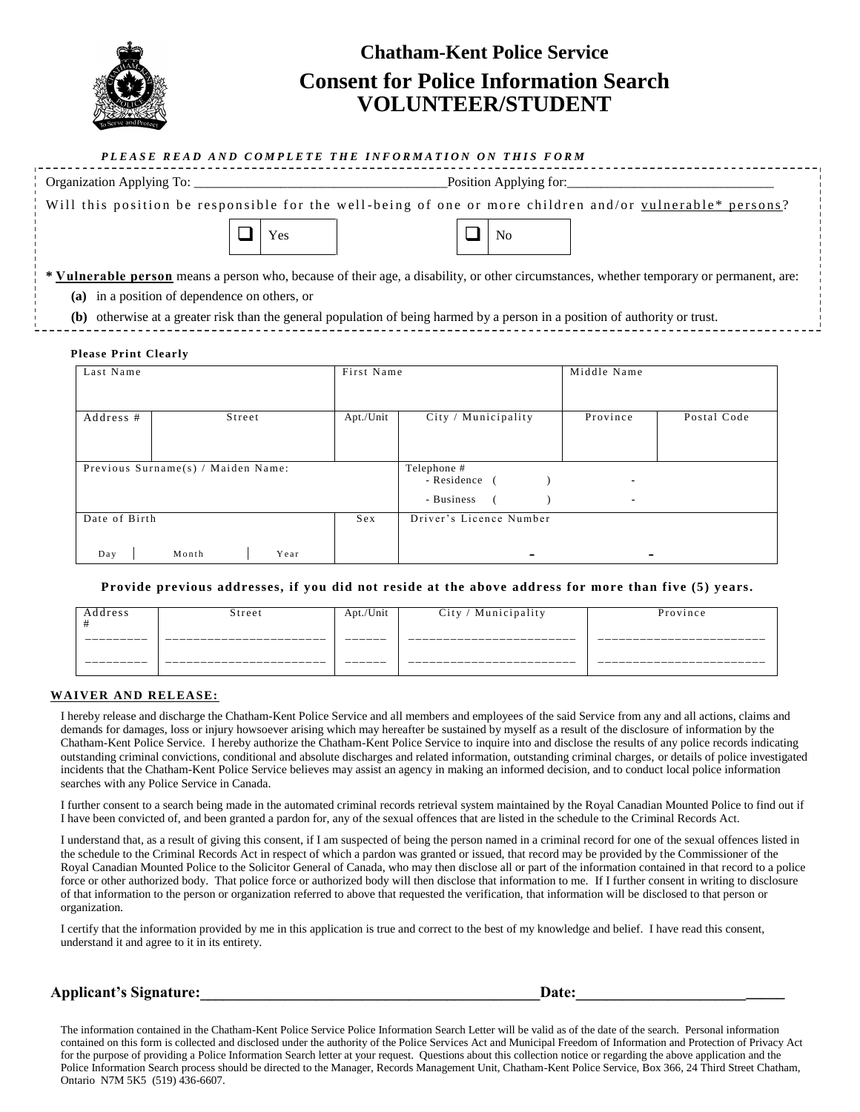

## **Chatham-Kent Police Service Consent for Police Information Search VOLUNTEER/STUDENT**

|                                                                                                                                                 | PLEASE READ AND COMPLETE THE INFORMATION ON THIS FORM                                                                        |             |  |  |  |
|-------------------------------------------------------------------------------------------------------------------------------------------------|------------------------------------------------------------------------------------------------------------------------------|-------------|--|--|--|
|                                                                                                                                                 | Position Applying for:                                                                                                       |             |  |  |  |
| Will this position be responsible for the well-being of one or more children and/or vulnerable* persons?                                        |                                                                                                                              |             |  |  |  |
| Yes                                                                                                                                             | N <sub>0</sub>                                                                                                               |             |  |  |  |
| <b>* Vulnerable person</b> means a person who, because of their age, a disability, or other circumstances, whether temporary or permanent, are: |                                                                                                                              |             |  |  |  |
| (a) in a position of dependence on others, or                                                                                                   |                                                                                                                              |             |  |  |  |
|                                                                                                                                                 | (b) otherwise at a greater risk than the general population of being harmed by a person in a position of authority or trust. |             |  |  |  |
| <b>Please Print Clearly</b>                                                                                                                     |                                                                                                                              |             |  |  |  |
| Last Name                                                                                                                                       | First Name                                                                                                                   | Middle Name |  |  |  |
|                                                                                                                                                 |                                                                                                                              |             |  |  |  |
|                                                                                                                                                 | $-1$                                                                                                                         |             |  |  |  |

| Address #            | Street                             | Apt./Unit | City / Municipality                       | Province       | Postal Code |
|----------------------|------------------------------------|-----------|-------------------------------------------|----------------|-------------|
|                      |                                    |           |                                           |                |             |
|                      |                                    |           |                                           |                |             |
|                      |                                    |           |                                           |                |             |
|                      |                                    |           |                                           |                |             |
|                      |                                    |           |                                           |                |             |
|                      | Previous Surname(s) / Maiden Name: |           | Telephone #                               |                |             |
|                      |                                    |           |                                           |                |             |
|                      |                                    |           | - Residence (                             | ۰              |             |
|                      |                                    |           |                                           |                |             |
|                      |                                    |           |                                           |                |             |
|                      |                                    |           | - Business                                | $\blacksquare$ |             |
|                      |                                    |           |                                           |                |             |
|                      |                                    |           |                                           |                |             |
|                      |                                    |           |                                           |                |             |
|                      |                                    |           |                                           |                |             |
|                      |                                    |           |                                           |                |             |
|                      |                                    |           |                                           |                |             |
|                      |                                    |           |                                           |                |             |
| Date of Birth<br>Day | Month<br>Year                      | Sex       | Driver's Licence Number<br>$\blacksquare$ |                |             |

**Provide previous addresses, if you did not reside at the above address for more than five (5) years.**

| Address   | Street | Apt./Unit | City / Municipality   | Province   |
|-----------|--------|-----------|-----------------------|------------|
| _________ | --     | ______    | ____________<br>__    | __         |
| _______   | --     | ______    | _______________<br>__ | __________ |

## **WAIVER AND RELEASE:**

I hereby release and discharge the Chatham-Kent Police Service and all members and employees of the said Service from any and all actions, claims and demands for damages, loss or injury howsoever arising which may hereafter be sustained by myself as a result of the disclosure of information by the Chatham-Kent Police Service. I hereby authorize the Chatham-Kent Police Service to inquire into and disclose the results of any police records indicating outstanding criminal convictions, conditional and absolute discharges and related information, outstanding criminal charges, or details of police investigated incidents that the Chatham-Kent Police Service believes may assist an agency in making an informed decision, and to conduct local police information searches with any Police Service in Canada.

I further consent to a search being made in the automated criminal records retrieval system maintained by the Royal Canadian Mounted Police to find out if I have been convicted of, and been granted a pardon for, any of the sexual offences that are listed in the schedule to the Criminal Records Act.

I understand that, as a result of giving this consent, if I am suspected of being the person named in a criminal record for one of the sexual offences listed in the schedule to the Criminal Records Act in respect of which a pardon was granted or issued, that record may be provided by the Commissioner of the Royal Canadian Mounted Police to the Solicitor General of Canada, who may then disclose all or part of the information contained in that record to a police force or other authorized body. That police force or authorized body will then disclose that information to me. If I further consent in writing to disclosure of that information to the person or organization referred to above that requested the verification, that information will be disclosed to that person or organization.

I certify that the information provided by me in this application is true and correct to the best of my knowledge and belief. I have read this consent, understand it and agree to it in its entirety.

## Applicant's Signature: **Example 20** and the set of the set of the set of the set of the set of the set of the set of the set of the set of the set of the set of the set of the set of the set of the set of the set of the se

The information contained in the Chatham-Kent Police Service Police Information Search Letter will be valid as of the date of the search. Personal information contained on this form is collected and disclosed under the authority of the Police Services Act and Municipal Freedom of Information and Protection of Privacy Act for the purpose of providing a Police Information Search letter at your request. Questions about this collection notice or regarding the above application and the Police Information Search process should be directed to the Manager, Records Management Unit, Chatham-Kent Police Service, Box 366, 24 Third Street Chatham, Ontario N7M 5K5 (519) 436-6607.